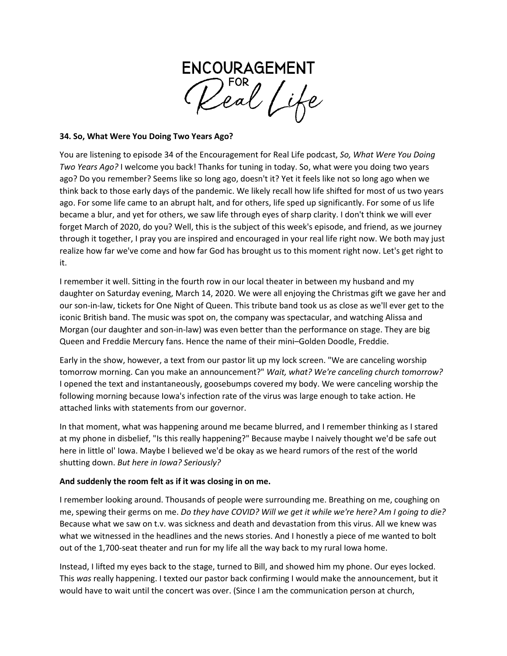

#### **34. So, What Were You Doing Two Years Ago?**

You are listening to episode 34 of the Encouragement for Real Life podcast, *So, What Were You Doing Two Years Ago?* I welcome you back! Thanks for tuning in today. So, what were you doing two years ago? Do you remember? Seems like so long ago, doesn't it? Yet it feels like not so long ago when we think back to those early days of the pandemic. We likely recall how life shifted for most of us two years ago. For some life came to an abrupt halt, and for others, life sped up significantly. For some of us life became a blur, and yet for others, we saw life through eyes of sharp clarity. I don't think we will ever forget March of 2020, do you? Well, this is the subject of this week's episode, and friend, as we journey through it together, I pray you are inspired and encouraged in your real life right now. We both may just realize how far we've come and how far God has brought us to this moment right now. Let's get right to it.

I remember it well. Sitting in the fourth row in our local theater in between my husband and my daughter on Saturday evening, March 14, 2020. We were all enjoying the Christmas gift we gave her and our son-in-law, tickets for One Night of Queen. This tribute band took us as close as we'll ever get to the iconic British band. The music was spot on, the company was spectacular, and watching Alissa and Morgan (our daughter and son-in-law) was even better than the performance on stage. They are big Queen and Freddie Mercury fans. Hence the name of their mini–Golden Doodle, Freddie.

Early in the show, however, a text from our pastor lit up my lock screen. "We are canceling worship tomorrow morning. Can you make an announcement?" *Wait, what? We're canceling church tomorrow?*  I opened the text and instantaneously, goosebumps covered my body. We were canceling worship the following morning because Iowa's infection rate of the virus was large enough to take action. He attached links with statements from our governor.

In that moment, what was happening around me became blurred, and I remember thinking as I stared at my phone in disbelief, "Is this really happening?" Because maybe I naively thought we'd be safe out here in little ol' Iowa. Maybe I believed we'd be okay as we heard rumors of the rest of the world shutting down. *But here in Iowa? Seriously?*

#### **And suddenly the room felt as if it was closing in on me.**

I remember looking around. Thousands of people were surrounding me. Breathing on me, coughing on me, spewing their germs on me. *Do they have COVID? Will we get it while we're here? Am I going to die?* Because what we saw on t.v. was sickness and death and devastation from this virus. All we knew was what we witnessed in the headlines and the news stories. And I honestly a piece of me wanted to bolt out of the 1,700-seat theater and run for my life all the way back to my rural Iowa home.

Instead, I lifted my eyes back to the stage, turned to Bill, and showed him my phone. Our eyes locked. This *was* really happening. I texted our pastor back confirming I would make the announcement, but it would have to wait until the concert was over. (Since I am the communication person at church,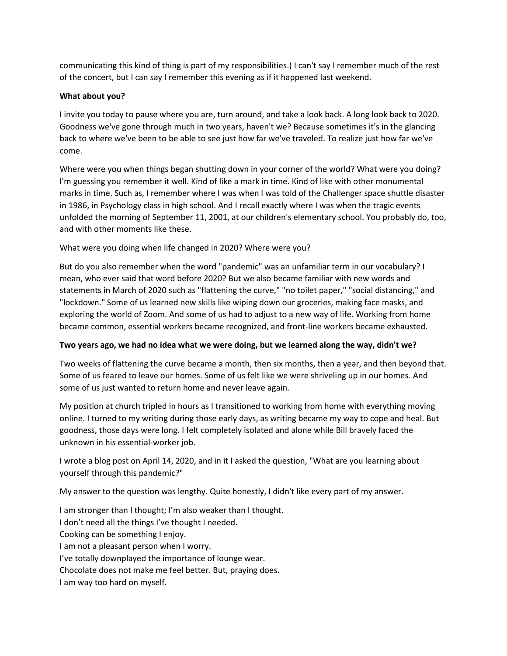communicating this kind of thing is part of my responsibilities.) I can't say I remember much of the rest of the concert, but I can say I remember this evening as if it happened last weekend.

### **What about you?**

I invite you today to pause where you are, turn around, and take a look back. A long look back to 2020. Goodness we've gone through much in two years, haven't we? Because sometimes it's in the glancing back to where we've been to be able to see just how far we've traveled. To realize just how far we've come.

Where were you when things began shutting down in your corner of the world? What were you doing? I'm guessing you remember it well. Kind of like a mark in time. Kind of like with other monumental marks in time. Such as, I remember where I was when I was told of the Challenger space shuttle disaster in 1986, in Psychology class in high school. And I recall exactly where I was when the tragic events unfolded the morning of September 11, 2001, at our children's elementary school. You probably do, too, and with other moments like these.

# What were you doing when life changed in 2020? Where were you?

But do you also remember when the word "pandemic" was an unfamiliar term in our vocabulary? I mean, who ever said that word before 2020? But we also became familiar with new words and statements in March of 2020 such as "flattening the curve," "no toilet paper," "social distancing," and "lockdown." Some of us learned new skills like wiping down our groceries, making face masks, and exploring the world of Zoom. And some of us had to adjust to a new way of life. Working from home became common, essential workers became recognized, and front-line workers became exhausted.

#### **Two years ago, we had no idea what we were doing, but we learned along the way, didn't we?**

Two weeks of flattening the curve became a month, then six months, then a year, and then beyond that. Some of us feared to leave our homes. Some of us felt like we were shriveling up in our homes. And some of us just wanted to return home and never leave again.

My position at church tripled in hours as I transitioned to working from home with everything moving online. I turned to my writing during those early days, as writing became my way to cope and heal. But goodness, those days were long. I felt completely isolated and alone while Bill bravely faced the unknown in his essential-worker job.

I wrote a blog post on April 14, 2020, and in it I asked the question, "What are you learning about yourself through this pandemic?"

My answer to the question was lengthy. Quite honestly, I didn't like every part of my answer.

I am stronger than I thought; I'm also weaker than I thought. I don't need all the things I've thought I needed. Cooking can be something I enjoy. I am not a pleasant person when I worry. I've totally downplayed the importance of lounge wear. Chocolate does not make me feel better. But, praying does. I am way too hard on myself.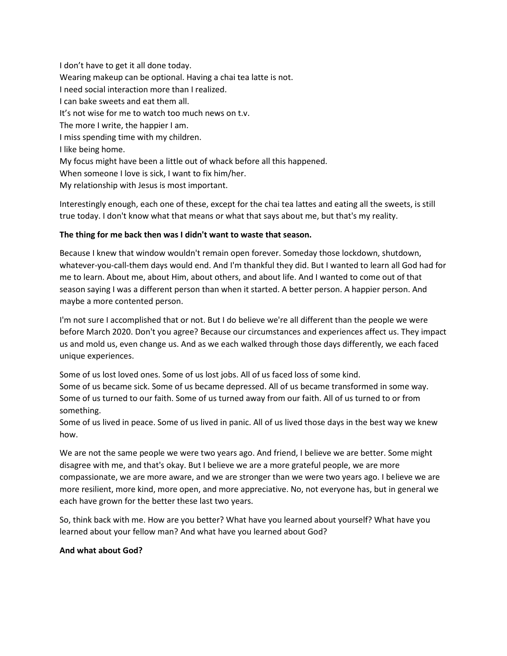I don't have to get it all done today. Wearing makeup can be optional. Having a chai tea latte is not. I need social interaction more than I realized. I can bake sweets and eat them all. It's not wise for me to watch too much news on t.v. The more I write, the happier I am. I miss spending time with my children. I like being home. My focus might have been a little out of whack before all this happened. When someone I love is sick, I want to fix him/her. My relationship with Jesus is most important.

Interestingly enough, each one of these, except for the chai tea lattes and eating all the sweets, is still true today. I don't know what that means or what that says about me, but that's my reality.

### **The thing for me back then was I didn't want to waste that season.**

Because I knew that window wouldn't remain open forever. Someday those lockdown, shutdown, whatever-you-call-them days would end. And I'm thankful they did. But I wanted to learn all God had for me to learn. About me, about Him, about others, and about life. And I wanted to come out of that season saying I was a different person than when it started. A better person. A happier person. And maybe a more contented person.

I'm not sure I accomplished that or not. But I do believe we're all different than the people we were before March 2020. Don't you agree? Because our circumstances and experiences affect us. They impact us and mold us, even change us. And as we each walked through those days differently, we each faced unique experiences.

Some of us lost loved ones. Some of us lost jobs. All of us faced loss of some kind. Some of us became sick. Some of us became depressed. All of us became transformed in some way. Some of us turned to our faith. Some of us turned away from our faith. All of us turned to or from something.

Some of us lived in peace. Some of us lived in panic. All of us lived those days in the best way we knew how.

We are not the same people we were two years ago. And friend, I believe we are better. Some might disagree with me, and that's okay. But I believe we are a more grateful people, we are more compassionate, we are more aware, and we are stronger than we were two years ago. I believe we are more resilient, more kind, more open, and more appreciative. No, not everyone has, but in general we each have grown for the better these last two years.

So, think back with me. How are you better? What have you learned about yourself? What have you learned about your fellow man? And what have you learned about God?

#### **And what about God?**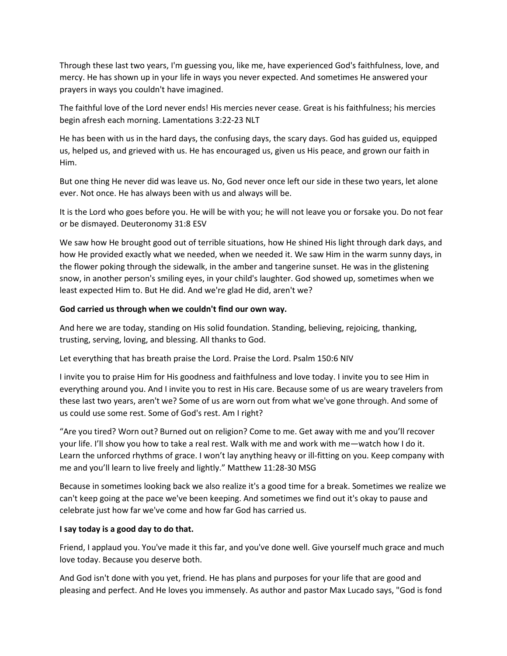Through these last two years, I'm guessing you, like me, have experienced God's faithfulness, love, and mercy. He has shown up in your life in ways you never expected. And sometimes He answered your prayers in ways you couldn't have imagined.

The faithful love of the Lord never ends! His mercies never cease. Great is his faithfulness; his mercies begin afresh each morning. Lamentations 3:22-23 NLT

He has been with us in the hard days, the confusing days, the scary days. God has guided us, equipped us, helped us, and grieved with us. He has encouraged us, given us His peace, and grown our faith in Him.

But one thing He never did was leave us. No, God never once left our side in these two years, let alone ever. Not once. He has always been with us and always will be.

It is the Lord who goes before you. He will be with you; he will not leave you or forsake you. Do not fear or be dismayed. Deuteronomy 31:8 ESV

We saw how He brought good out of terrible situations, how He shined His light through dark days, and how He provided exactly what we needed, when we needed it. We saw Him in the warm sunny days, in the flower poking through the sidewalk, in the amber and tangerine sunset. He was in the glistening snow, in another person's smiling eyes, in your child's laughter. God showed up, sometimes when we least expected Him to. But He did. And we're glad He did, aren't we?

#### **God carried us through when we couldn't find our own way.**

And here we are today, standing on His solid foundation. Standing, believing, rejoicing, thanking, trusting, serving, loving, and blessing. All thanks to God.

Let everything that has breath praise the Lord. Praise the Lord. Psalm 150:6 NIV

I invite you to praise Him for His goodness and faithfulness and love today. I invite you to see Him in everything around you. And I invite you to rest in His care. Because some of us are weary travelers from these last two years, aren't we? Some of us are worn out from what we've gone through. And some of us could use some rest. Some of God's rest. Am I right?

"Are you tired? Worn out? Burned out on religion? Come to me. Get away with me and you'll recover your life. I'll show you how to take a real rest. Walk with me and work with me—watch how I do it. Learn the unforced rhythms of grace. I won't lay anything heavy or ill-fitting on you. Keep company with me and you'll learn to live freely and lightly." Matthew 11:28-30 MSG

Because in sometimes looking back we also realize it's a good time for a break. Sometimes we realize we can't keep going at the pace we've been keeping. And sometimes we find out it's okay to pause and celebrate just how far we've come and how far God has carried us.

# **I say today is a good day to do that.**

Friend, I applaud you. You've made it this far, and you've done well. Give yourself much grace and much love today. Because you deserve both.

And God isn't done with you yet, friend. He has plans and purposes for your life that are good and pleasing and perfect. And He loves you immensely. As author and pastor Max Lucado says, "God is fond